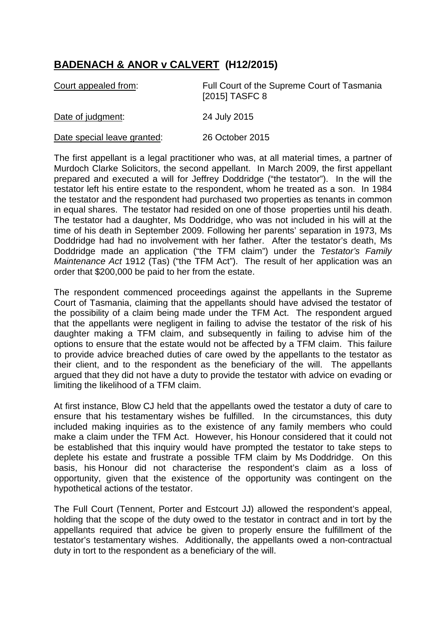## **BADENACH & ANOR v CALVERT (H12/2015)**

| Court appealed from:        | Full Court of the Supreme Court of Tasmania<br>[2015] TASFC 8 |
|-----------------------------|---------------------------------------------------------------|
| Date of judgment:           | 24 July 2015                                                  |
| Date special leave granted: | 26 October 2015                                               |

The first appellant is a legal practitioner who was, at all material times, a partner of Murdoch Clarke Solicitors, the second appellant. In March 2009, the first appellant prepared and executed a will for Jeffrey Doddridge ("the testator"). In the will the testator left his entire estate to the respondent, whom he treated as a son. In 1984 the testator and the respondent had purchased two properties as tenants in common in equal shares. The testator had resided on one of those properties until his death. The testator had a daughter, Ms Doddridge, who was not included in his will at the time of his death in September 2009. Following her parents' separation in 1973, Ms Doddridge had had no involvement with her father. After the testator's death, Ms Doddridge made an application ("the TFM claim") under the *Testator's Family Maintenance Act* 1912 (Tas) ("the TFM Act"). The result of her application was an order that \$200,000 be paid to her from the estate.

The respondent commenced proceedings against the appellants in the Supreme Court of Tasmania, claiming that the appellants should have advised the testator of the possibility of a claim being made under the TFM Act. The respondent argued that the appellants were negligent in failing to advise the testator of the risk of his daughter making a TFM claim, and subsequently in failing to advise him of the options to ensure that the estate would not be affected by a TFM claim. This failure to provide advice breached duties of care owed by the appellants to the testator as their client, and to the respondent as the beneficiary of the will. The appellants argued that they did not have a duty to provide the testator with advice on evading or limiting the likelihood of a TFM claim.

At first instance, Blow CJ held that the appellants owed the testator a duty of care to ensure that his testamentary wishes be fulfilled. In the circumstances, this duty included making inquiries as to the existence of any family members who could make a claim under the TFM Act. However, his Honour considered that it could not be established that this inquiry would have prompted the testator to take steps to deplete his estate and frustrate a possible TFM claim by Ms Doddridge. On this basis, his Honour did not characterise the respondent's claim as a loss of opportunity, given that the existence of the opportunity was contingent on the hypothetical actions of the testator.

The Full Court (Tennent, Porter and Estcourt JJ) allowed the respondent's appeal, holding that the scope of the duty owed to the testator in contract and in tort by the appellants required that advice be given to properly ensure the fulfillment of the testator's testamentary wishes. Additionally, the appellants owed a non-contractual duty in tort to the respondent as a beneficiary of the will.